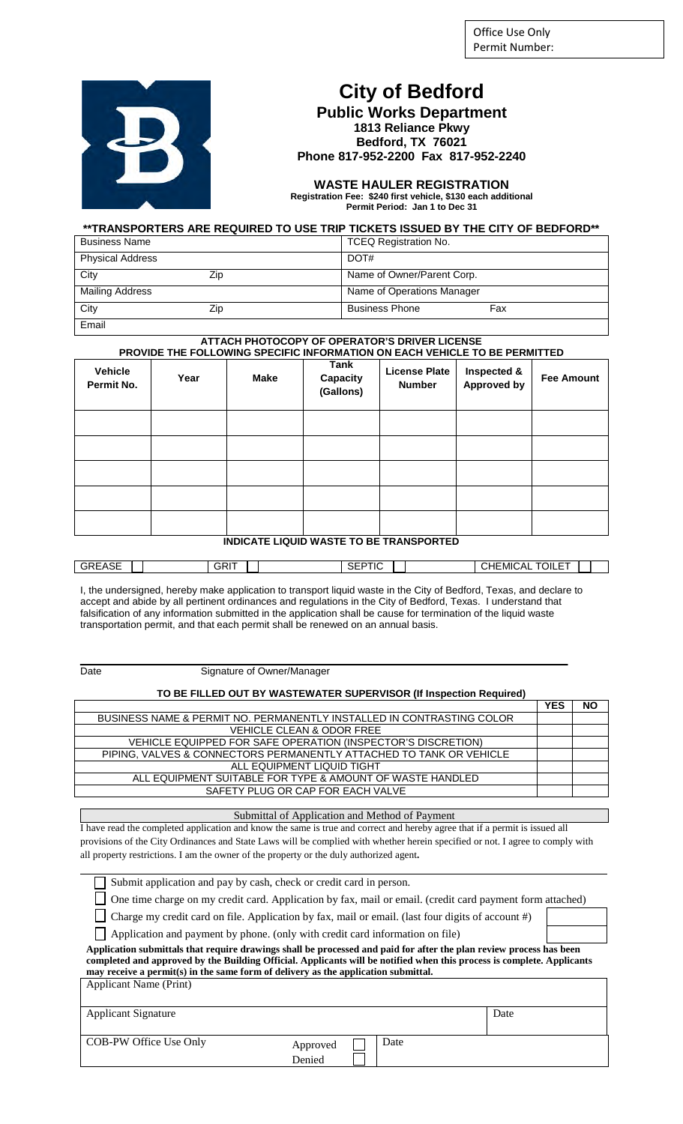Office Use Only Permit Number:



# **City of Bedford**

**Public Works Department 1813 Reliance Pkwy Bedford, TX 76021 Phone 817-952-2200 Fax 817-952-2240**

**WASTE HAULER REGISTRATION Registration Fee: \$240 first vehicle, \$130 each additional Permit Period: Jan 1 to Dec 31**

| **TRANSPORTERS ARE REQUIRED TO USE TRIP TICKETS ISSUED BY THE CITY OF BEDFORD** |  |  |
|---------------------------------------------------------------------------------|--|--|
|                                                                                 |  |  |

| <b>Business Name</b>    |     | <b>TCEQ Registration No.</b> |     |
|-------------------------|-----|------------------------------|-----|
| <b>Physical Address</b> |     | DOT#                         |     |
| City                    | Zip | Name of Owner/Parent Corp.   |     |
| Mailing Address         |     | Name of Operations Manager   |     |
| City                    | Zip | <b>Business Phone</b>        | Fax |
| Email                   |     |                              |     |

#### **ATTACH PHOTOCOPY OF OPERATOR'S DRIVER LICENSE PROVIDE THE FOLLOWING SPECIFIC INFORMATION ON EACH VEHICLE TO BE PERMITTED**

| <b>Vehicle</b><br>Permit No.                   | Year | <b>Make</b> | Tank<br>Capacity<br>(Gallons) | <b>License Plate</b><br><b>Number</b> | Inspected &<br><b>Approved by</b> | <b>Fee Amount</b> |
|------------------------------------------------|------|-------------|-------------------------------|---------------------------------------|-----------------------------------|-------------------|
|                                                |      |             |                               |                                       |                                   |                   |
|                                                |      |             |                               |                                       |                                   |                   |
|                                                |      |             |                               |                                       |                                   |                   |
|                                                |      |             |                               |                                       |                                   |                   |
|                                                |      |             |                               |                                       |                                   |                   |
| <b>INDICATE LIQUID WASTE TO BE TRANSPORTED</b> |      |             |                               |                                       |                                   |                   |

| GRIT                        | $- - - - - -$  |
|-----------------------------|----------------|
| <b>GREASE</b>               | TOILE.         |
| $\sim$ $\sim$ $\sim$ $\sim$ | $^{\circ}$ A i |
| 5EF                         | ∴HEMI'         |
| יי                          | ∣∪∧∟           |

I, the undersigned, hereby make application to transport liquid waste in the City of Bedford, Texas, and declare to accept and abide by all pertinent ordinances and regulations in the City of Bedford, Texas. I understand that falsification of any information submitted in the application shall be cause for termination of the liquid waste transportation permit, and that each permit shall be renewed on an annual basis.

Signature of Owner/Manager

#### **TO BE FILLED OUT BY WASTEWATER SUPERVISOR (If Inspection Required)**

|                                                                       | YES | ΝO |
|-----------------------------------------------------------------------|-----|----|
| BUSINESS NAME & PERMIT NO. PERMANENTLY INSTALLED IN CONTRASTING COLOR |     |    |
| <b>VEHICLE CLEAN &amp; ODOR FREE</b>                                  |     |    |
| VEHICLE EQUIPPED FOR SAFE OPERATION (INSPECTOR'S DISCRETION)          |     |    |
| PIPING. VALVES & CONNECTORS PERMANENTLY ATTACHED TO TANK OR VEHICLE   |     |    |
| ALL EQUIPMENT LIQUID TIGHT                                            |     |    |
| ALL EQUIPMENT SUITABLE FOR TYPE & AMOUNT OF WASTE HANDLED             |     |    |
| SAFETY PLUG OR CAP FOR EACH VALVE                                     |     |    |
|                                                                       |     |    |

Submittal of Application and Method of Payment

I have read the completed application and know the same is true and correct and hereby agree that if a permit is issued all provisions of the City Ordinances and State Laws will be complied with whether herein specified or not. I agree to comply with all property restrictions. I am the owner of the property or the duly authorized agent**.** 

 $\Box$ One time charge on my credit card. Application by fax, mail or email. (credit card payment form attached)

Charge my credit card on file. Application by fax, mail or email. (last four digits of account #)

Application and payment by phone. (only with credit card information on file)

**Application submittals that require drawings shall be processed and paid for after the plan review process has been completed and approved by the Building Official. Applicants will be notified when this process is complete. Applicants may receive a permit(s) in the same form of delivery as the application submittal.**  Applicant Name (Print)

| $\mathbf{A}$               |                    |      |      |
|----------------------------|--------------------|------|------|
| <b>Applicant Signature</b> |                    |      | Date |
|                            |                    |      |      |
| COB-PW Office Use Only     | Approved<br>Denied | Date |      |